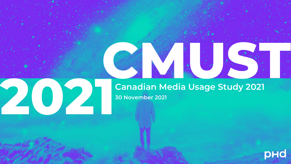

# **Canadian Media Usage Study 2021**

**CMUSTER** 

phone of the phone of the confidence of the community of the confidence of the confidential confidential confidential confidential confidential confidential confidential confidential confidential confidential confidential

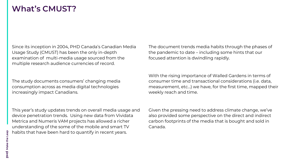#### **What's CMUST?**

Since its inception in 2004, PHD Canada's Canadian Media Usage Study (CMUST) has been the only in-depth examination of multi-media usage sourced from the multiple research audience currencies of record.

The study documents consumers' changing media consumption across as media digital technologies increasingly impact Canadians.

This year's study updates trends on overall media usage and device penetration trends. Using new data from Vividata Metrica and Numeris VAM projects has allowed a richer understanding of the some of the mobile and smart TV habits that have been hard to quantify in recent years.

The document trends media habits through the phases of the pandemic to date – including some hints that our focused attention is dwindling rapidly.

With the rising importance of Walled Gardens in terms of consumer time and transactional considerations (i.e. data, measurement, etc…) we have, for the first time, mapped their weekly reach and time.

Given the pressing need to address climate change, we've also provided some perspective on the direct and indirect carbon footprints of the media that is bought and sold in Canada.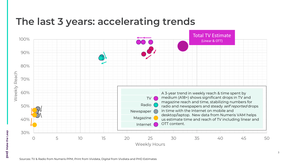## **The last 3 years: accelerating trends**

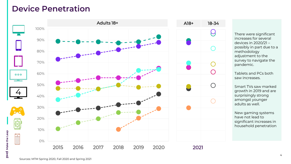#### **Device Penetration**



There were significant increases for several devices in 2020/21 – possibly in part due to a methodology adjustment to the survey to navigate the pandemic.

Tablets and PCs both saw increases.

Smart TVs saw marked growth in 2019 and are surprisingly strong amongst younger adults as well.

New gaming systems have not lead to significant increases in household penetration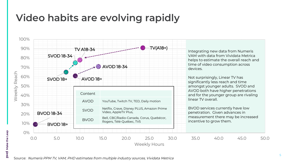## **Video habits are evolving rapidly**

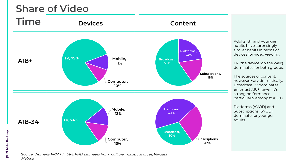



Adults 18+ and younger adults have surprisingly similar habits in terms of devices for video viewing.

TV (the device 'on the wall') dominates for both groups.

The sources of content, however, vary dramatically. Broadcast TV dominates amongst A18+ (given it's strong performance particularly amongst A55+).

Platforms (AVOD) and Subscriptions (SVOD) dominate for younger adults.

Source: Numeris PPM TV, VAM, PHD estimates from multiple industry sources, Vividata Metrica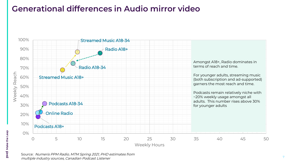#### **Generational differences in Audio mirror video**

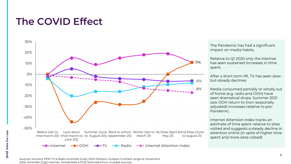## **The COVID Effect**



The Pandemic has had a significant impact on media habits.

Relative to Q1 2020 only the internet has seen sustained increases in time spent.

After a short term lift, TV has seen slowbut-steady declines.

Media consumed partially or wholly out of home (e.g. radio and OOH) have seen dramatical drops. Summer 2021 saw OOH return to (non-seasonally adjusted) increases relative to pre-Pandemic.

Internet Attention Index tracks an estimate of time spent relative to sites visited and suggests a steady decline in attention online (in spite of higher time spent and more sites visited)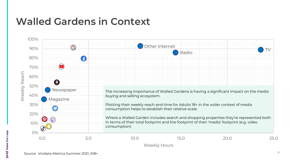## **Walled Gardens in Context**

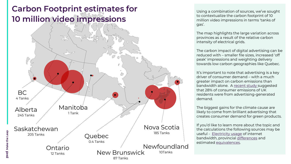### **Carbon Footprint estimates for 10 million video impressions**



Using a combination of sources, we've sought to contextualize the carbon footprint of 10 million video impressions in terms 'tanks of gas'.

The map highlights the large variation across provinces as a result of the relative carbon intensity of electrical grids.

The carbon impact of digital advertising can be reduced with – smaller file sizes, increased 'off peak' impressions and weighting delivery towards low carbon geographies like Quebec.

It's important to note that advertising is a key driver of consumer demand – with a much greater impact on carbon emissions than bandwidth alone. A [recent study](https://www.marketingweek.com/marketers-shape-consumer-demand-sustainable-future/) suggested that 28% of consumer emissions of UK residents were from advertising-generated demand.

The biggest gains for the climate cause are likely to come from brilliant advertising that creates consumer demand for green products.

If you'd like to learn more about the topic and the calculations the following sources may be useful - [Electricity usage](https://www.wholegraindigital.com/blog/website-energy-consumption/) of internet bandwidth, provincial [differences](https://www.cer-rec.gc.ca/en/data-analysis/energy-commodities/electricity/report/2017-canadian-renewable-power/canadas-renewable-power-landscape-2017-energy-market-analysis-ghg-emission.html) and estimated [equivalences.](https://oee.nrcan.gc.ca/corporate/statistics/neud/dpa/calculator/ghg-calculator.cfm#results)